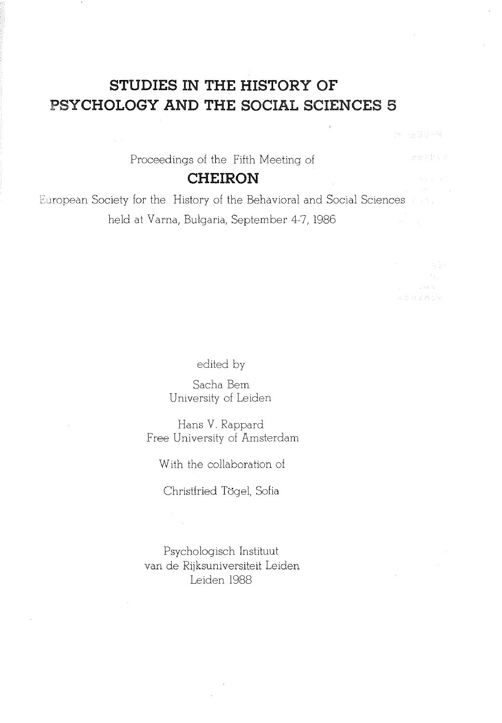# **STUDIES IN THE HISTORY OF PSYCHOLOGY AND THE SOCIAL SCIENCES S**

Proceedings of the Fifth Meeting of

# **CHEIRON**

European Society for the History of the Behavioral and Social Sciences held at Vama, Bulgaria, September 4-7, 1986

edited by

Sacha Bern University of Leiden

Hans V. Rappard Free University of Amsterdam

With the collaboration of

Christfried Tögel, Sofia

Psychologisch Instituut van de Rijksuniversiteit Leiden Leiden 1988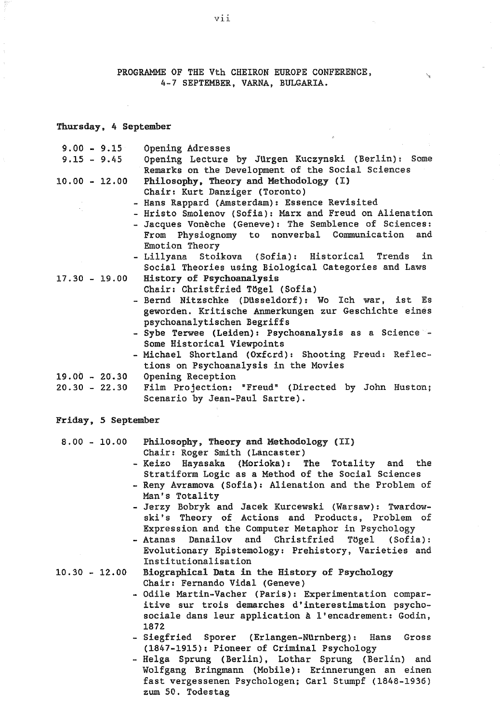PROGRAMME OF THE Vth CHEIRON EUROPE CONFERENCE, 4-7 SEPTEMBER, VARNA, BULGARIA.

#### Thursday, 4 September

| $9.00 - 9.15$<br>Opening Adresses                                     |  |
|-----------------------------------------------------------------------|--|
| Opening Lecture by Jürgen Kuczynski (Berlin): Some<br>$9.15 - 9.45$   |  |
| Remarks on the Development of the Social Sciences                     |  |
| Philosophy, Theory and Methodology (I)<br>$10.00 - 12.00$             |  |
| Chair: Kurt Danziger (Toronto)                                        |  |
| - Hans Rappard (Amsterdam): Essence Revisited                         |  |
| - Hristo Smolenov (Sofia): Marx and Freud on Alienation               |  |
| - Jacques Vonèche (Geneve): The Semblence of Sciences:                |  |
| From Physiognomy to nonverbal Communication and                       |  |
| Emotion Theory                                                        |  |
| - Lillyana Stoikova (Sofia): Historical Trends in                     |  |
| Social Theories using Biological Categories and Laws                  |  |
| 17.30 - 19.00 History of Psychoanalysis                               |  |
| Chair: Christfried Tögel (Sofia)                                      |  |
| - Bernd Nitzschke (Düsseldorf): Wo Ich war, ist Es                    |  |
| geworden. Kritische Anmerkungen zur Geschichte eines                  |  |
| psychoanalytischen Begriffs                                           |  |
| - Sybe Terwee (Leiden): Psychoanalysis as a Science -                 |  |
| Some Historical Viewpoints                                            |  |
| - Michael Shortland (Oxford): Shooting Freud: Reflec-                 |  |
| tions on Psychoanalysis in the Movies                                 |  |
| $19.00 - 20.30$<br>Opening Reception                                  |  |
| Film Projection: "Freud" (Directed by John Huston;<br>$20.30 - 22.30$ |  |
| Scenario by Jean-Paul Sartre).                                        |  |
|                                                                       |  |
| Friday, 5 September                                                   |  |
| Philosophy, Theory and Methodology (II)<br>$8.00 - 10.00$             |  |
| Chair: Roger Smith (Lancaster)                                        |  |
| Kaizo Havacaka (Morioka): The Totality and the                        |  |

- Keizo Hayasaka (Morioka): The Totality Stratiform Logic as a Method of the Social Sciences
- Reny Avramova (Sofia): Alienation and the Problem of Man's Totality
- Jerzy Bobryk and Jacek Kurcewski (Warsaw): Twardowski's Theory of Actions and Products, Problem of Expression and the Computer Metaphor in Psychology
- Atanas Danailov and Christfried Tögel (Sofia): Evolutionary Epistemology: Prehistory, Varieties and Institutionalisation
- 10.30 12.00 Biographical Data in the History of Psychology Chair: Fernando Vidal (Geneve)
	- Odile Martin-Vacher (Paris): Experimentation comparitive sur trois demarches d'interestimation psychosociale dans leur application à l'encadrement: Godin, 1872
	- Siegfried Sporer (Erlangen-NUrnberg): Hans Gross (1847-1915): Pioneer of Criminal Psychology
	- Helga Sprung (Berlin), Lothar Sprung (Berlin) and Wolfgang Bringmann (Mobile): Erinnerungen an einen fast vergessenen Psychologen; Carl Stumpf (1848-1936) zum 50. Todestag

vii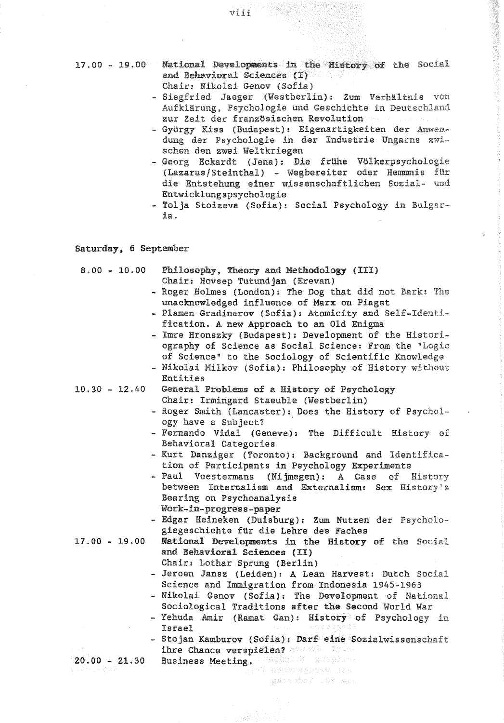17. 00 - 19. 00 National **Developments** in the **Biatory** of the **Social**  and Behavioral **Sciences** (I) Chair: Nikolai Genov (Sofia)

viii

- **Siegfried** Jaeger (Westberlin): Zum Verhältnis **von Aufklärung, Psychologie** und Geschichte in **Deutschland**  zur Zeit der französischen Revolution
- György Kiss (Budapest): Eigenartigkeiten der Anwen**dung** der **Psychologie** in der Industrie Ungarns zwi-· sehen den zwei **Weltkriegen**
- Georg Eckardt (Jena): Die frUhe **Völkerpsychologie**  (Lazarus/Steinthal) - Wegbereiter oder Hemmnis **fUr**  die Entstehung einer wissenschaftlichen Sozial- **und**  Entwicklungspsychologie
- Tolja Stoizeva (Sofia): Social Psychology in **Bulgar**ia.

Saturday, 6 September

### 8.00 - 10.00 Philosophy. Theory and Methodology (III) Chair: Hovsep Tutundjan (Erevan)

- Roger Holmes (London): The Dog that did not Bark: **The**  unacknowledged influence of Marx on Piaget
- Plamen Gradinarov (Sofia): Atomicity and Self-Identification. A new Approach to an Old Enigma
- Imre Hronszky (Budapest): Development of the Historiography of Science as Social Science: From the **"Logic**  of Science" to the Sociology of Scientific Knowledge
- Nikolai Milkov (Sofia): Philosophy of History without Entities
- 
- 10.30 12.40 General Problemsofa **Bistory** of Psychology Chair: Irmingard Staeuble (Westberlin)
	- Roger Smith (Lancaster): Does the History of **Psychol**ogy have a **Subject?** ·
	- Fernando Vidal (Geneve): The Difficult **History** of Behavioral Categories
	- Kurt Danziger (Toronto): Background and Identification of Participants in Psychology Experiments
	- Paul Voestermans (Nijmegen): A Case of **History**  between Internalism and Externalism: Sex History' <sup>s</sup> Bearing on Psychoanalysis **Work-in-progreas-paper**
	- Edgar Heineken (Duisburg): Zum Nutzen der **Psycholo**giegeschichte fUr die Lehre des Faches
- 17. 00 19. 00 National Developments in the History of the **Social**  and Behavioral Sciences {II)
	- Chair: Lothar Sprung (Berlin)
	- Jeroen Jansz (Leiden): A Lean Harvest: Dutch Social Science and Immigration from Indonesia 1945-1963
	- Nikolai Genov (Sofia): The Development of National Sociological Traditions after the Second World War
	- Yehuda Amir (Ramat Gan): History of Psychology **in**  Israel
	- Stojan Kamburov (Sofia): Darf eine Sozialwissenschaft ihre Chance verspielen?
- 20.00 21.30 Business Meeting. All and Manuscript

eason that I well amount